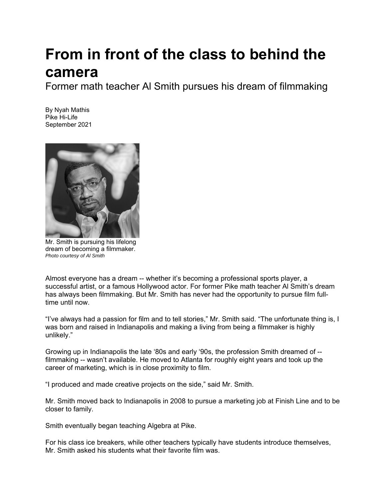## **From in front of the class to behind the camera**

Former math teacher Al Smith pursues his dream of filmmaking

By Nyah Mathis Pike Hi-Life September 2021



Mr. Smith is pursuing his lifelong dream of becoming a filmmaker. *Photo courtesy of Al Smith* 

Almost everyone has a dream -- whether it's becoming a professional sports player, a successful artist, or a famous Hollywood actor. For former Pike math teacher Al Smith's dream has always been filmmaking. But Mr. Smith has never had the opportunity to pursue film fulltime until now.

"I've always had a passion for film and to tell stories," Mr. Smith said. "The unfortunate thing is, I was born and raised in Indianapolis and making a living from being a filmmaker is highly unlikely."

Growing up in Indianapolis the late '80s and early '90s, the profession Smith dreamed of - filmmaking -- wasn't available. He moved to Atlanta for roughly eight years and took up the career of marketing, which is in close proximity to film.

"I produced and made creative projects on the side," said Mr. Smith.

Mr. Smith moved back to Indianapolis in 2008 to pursue a marketing job at Finish Line and to be closer to family.

Smith eventually began teaching Algebra at Pike.

For his class ice breakers, while other teachers typically have students introduce themselves, Mr. Smith asked his students what their favorite film was.